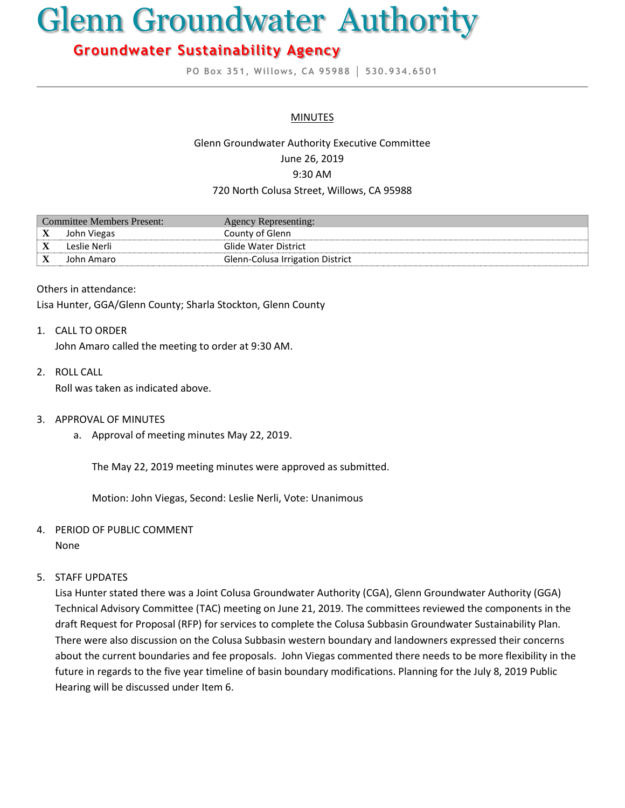# Glenn Groundwater Authority

## **Groundwater Sustainability Agency**

**PO Box 351, Willows, CA 95988 │ 530.934.6501**

#### **MINUTES**

### Glenn Groundwater Authority Executive Committee June 26, 2019 9:30 AM 720 North Colusa Street, Willows, CA 95988

| Committee Members Present: |              | Agency Representing:             |
|----------------------------|--------------|----------------------------------|
| $\mathbf X$                | John Viegas  | County of Glenn                  |
|                            | Leslie Nerli | Glide Water District             |
|                            | John Amaro   | Glenn-Colusa Irrigation District |

#### Others in attendance:

Lisa Hunter, GGA/Glenn County; Sharla Stockton, Glenn County

#### 1. CALL TO ORDER

John Amaro called the meeting to order at 9:30 AM.

2. ROLL CALL

Roll was taken as indicated above.

- 3. APPROVAL OF MINUTES
	- a. Approval of meeting minutes May 22, 2019.

The May 22, 2019 meeting minutes were approved as submitted.

Motion: John Viegas, Second: Leslie Nerli, Vote: Unanimous

#### 4. PERIOD OF PUBLIC COMMENT

None

#### 5. STAFF UPDATES

Lisa Hunter stated there was a Joint Colusa Groundwater Authority (CGA), Glenn Groundwater Authority (GGA) Technical Advisory Committee (TAC) meeting on June 21, 2019. The committees reviewed the components in the draft Request for Proposal (RFP) for services to complete the Colusa Subbasin Groundwater Sustainability Plan. There were also discussion on the Colusa Subbasin western boundary and landowners expressed their concerns about the current boundaries and fee proposals. John Viegas commented there needs to be more flexibility in the future in regards to the five year timeline of basin boundary modifications. Planning for the July 8, 2019 Public Hearing will be discussed under Item 6.